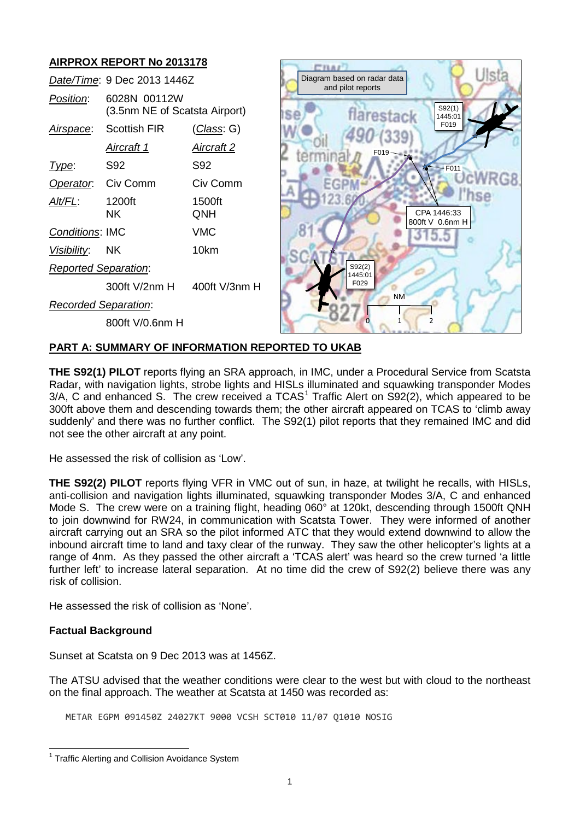#### **AIRPROX REPORT No 2013178**  $C<sub>IMAI</sub>$  $||$ st Diagram based on radar data *Date/Time*: 9 Dec 2013 1446Z and pilot reports *Position*: 6028N 00112W S92(1) (3.5nm NE of Scatsta Airport) arestack  $1445:0$ F019 *Airspace*: Scottish FIR (*Class*: G) *Aircraft 1 Aircraft 2* F019 *Type*: S92 S92  $-$ F011 *Operator*: Civ Comm Civ Comm *Alt/FL*: 1200ft 1500ft CPA 1446:33 NK QNH 800ft V 0.6nm H *Conditions*: IMC VMC 15.5 *Visibility*: NK 10km S92(2) *Reported Separation*: 1445:01 F029 300ft V/2nm H 400ft V/3nm H NM *Recorded Separation*: 0 1 2 800ft V/0.6nm H

# **PART A: SUMMARY OF INFORMATION REPORTED TO UKAB**

**THE S92(1) PILOT** reports flying an SRA approach, in IMC, under a Procedural Service from Scatsta Radar, with navigation lights, strobe lights and HISLs illuminated and squawking transponder Modes  $3/A$ , C and enhanced S. The crew received a TCAS<sup>[1](#page-0-0)</sup> Traffic Alert on S92(2), which appeared to be 300ft above them and descending towards them; the other aircraft appeared on TCAS to 'climb away suddenly' and there was no further conflict. The S92(1) pilot reports that they remained IMC and did not see the other aircraft at any point.

He assessed the risk of collision as 'Low'.

**THE S92(2) PILOT** reports flying VFR in VMC out of sun, in haze, at twilight he recalls, with HISLs, anti-collision and navigation lights illuminated, squawking transponder Modes 3/A, C and enhanced Mode S. The crew were on a training flight, heading 060° at 120kt, descending through 1500ft QNH to join downwind for RW24, in communication with Scatsta Tower. They were informed of another aircraft carrying out an SRA so the pilot informed ATC that they would extend downwind to allow the inbound aircraft time to land and taxy clear of the runway. They saw the other helicopter's lights at a range of 4nm. As they passed the other aircraft a 'TCAS alert' was heard so the crew turned 'a little further left' to increase lateral separation. At no time did the crew of S92(2) believe there was any risk of collision.

He assessed the risk of collision as 'None'.

## **Factual Background**

Sunset at Scatsta on 9 Dec 2013 was at 1456Z.

The ATSU advised that the weather conditions were clear to the west but with cloud to the northeast on the final approach. The weather at Scatsta at 1450 was recorded as:

METAR EGPM 091450Z 24027KT 9000 VCSH SCT010 11/07 Q1010 NOSIG

<span id="page-0-0"></span><sup>&</sup>lt;sup>1</sup> Traffic Alerting and Collision Avoidance System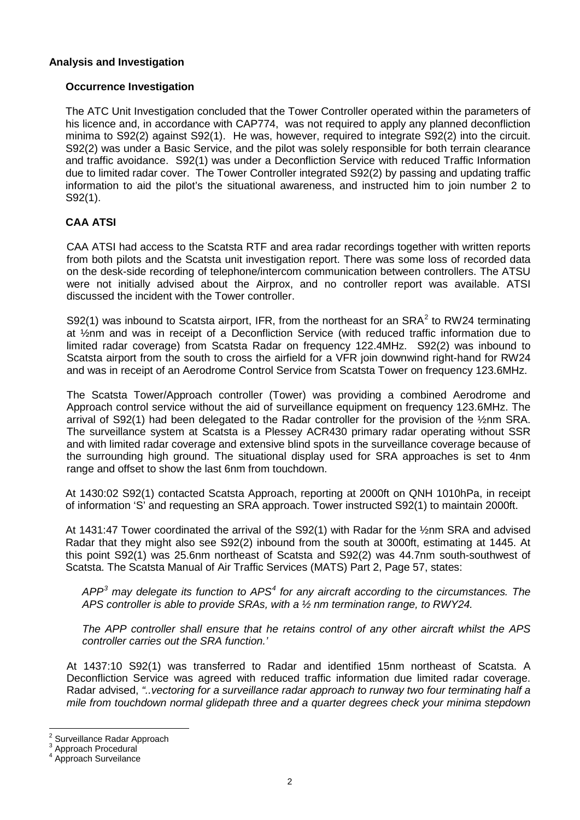## **Analysis and Investigation**

## **Occurrence Investigation**

The ATC Unit Investigation concluded that the Tower Controller operated within the parameters of his licence and, in accordance with CAP774, was not required to apply any planned deconfliction minima to S92(2) against S92(1). He was, however, required to integrate S92(2) into the circuit. S92(2) was under a Basic Service, and the pilot was solely responsible for both terrain clearance and traffic avoidance. S92(1) was under a Deconfliction Service with reduced Traffic Information due to limited radar cover. The Tower Controller integrated S92(2) by passing and updating traffic information to aid the pilot's the situational awareness, and instructed him to join number 2 to S92(1).

## **CAA ATSI**

CAA ATSI had access to the Scatsta RTF and area radar recordings together with written reports from both pilots and the Scatsta unit investigation report. There was some loss of recorded data on the desk-side recording of telephone/intercom communication between controllers. The ATSU were not initially advised about the Airprox, and no controller report was available. ATSI discussed the incident with the Tower controller.

S9[2](#page-1-0)(1) was inbound to Scatsta airport, IFR, from the northeast for an  $SRA<sup>2</sup>$  to RW24 terminating at ½nm and was in receipt of a Deconfliction Service (with reduced traffic information due to limited radar coverage) from Scatsta Radar on frequency 122.4MHz. S92(2) was inbound to Scatsta airport from the south to cross the airfield for a VFR join downwind right-hand for RW24 and was in receipt of an Aerodrome Control Service from Scatsta Tower on frequency 123.6MHz.

The Scatsta Tower/Approach controller (Tower) was providing a combined Aerodrome and Approach control service without the aid of surveillance equipment on frequency 123.6MHz. The arrival of S92(1) had been delegated to the Radar controller for the provision of the ½nm SRA. The surveillance system at Scatsta is a Plessey ACR430 primary radar operating without SSR and with limited radar coverage and extensive blind spots in the surveillance coverage because of the surrounding high ground. The situational display used for SRA approaches is set to 4nm range and offset to show the last 6nm from touchdown.

At 1430:02 S92(1) contacted Scatsta Approach, reporting at 2000ft on QNH 1010hPa, in receipt of information 'S' and requesting an SRA approach. Tower instructed S92(1) to maintain 2000ft.

At 1431:47 Tower coordinated the arrival of the S92(1) with Radar for the ½nm SRA and advised Radar that they might also see S92(2) inbound from the south at 3000ft, estimating at 1445. At this point S92(1) was 25.6nm northeast of Scatsta and S92(2) was 44.7nm south-southwest of Scatsta. The Scatsta Manual of Air Traffic Services (MATS) Part 2, Page 57, states:

*APP[3](#page-1-1) may delegate its function to APS[4](#page-1-2) for any aircraft according to the circumstances. The APS controller is able to provide SRAs, with a ½ nm termination range, to RWY24.*

*The APP controller shall ensure that he retains control of any other aircraft whilst the APS controller carries out the SRA function.'*

At 1437:10 S92(1) was transferred to Radar and identified 15nm northeast of Scatsta. A Deconfliction Service was agreed with reduced traffic information due limited radar coverage. Radar advised, *"..vectoring for a surveillance radar approach to runway two four terminating half a mile from touchdown normal glidepath three and a quarter degrees check your minima stepdown* 

<span id="page-1-1"></span><span id="page-1-0"></span><sup>&</sup>lt;sup>2</sup> Surveillance Radar Approach<br>  $3^4$  Approach Procedural<br>  $4^4$  Approach Surveilance

<span id="page-1-2"></span>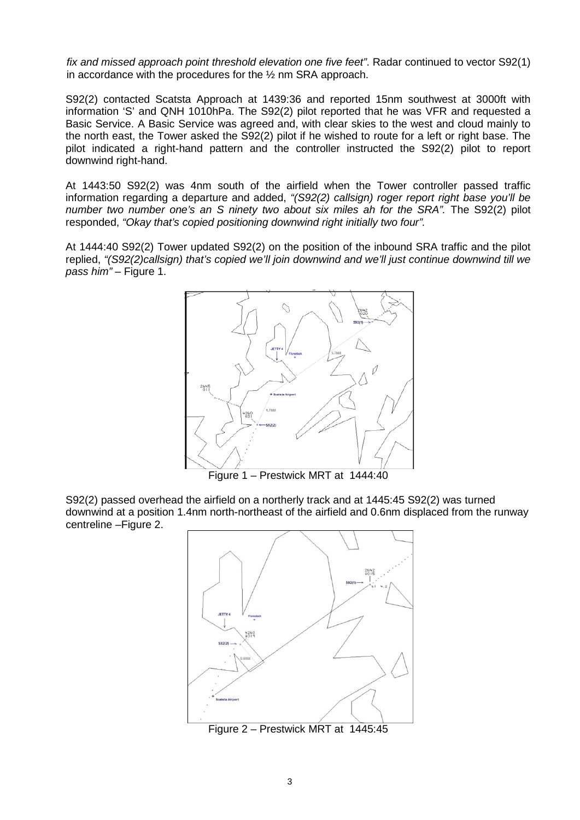*fix and missed approach point threshold elevation one five feet"*. Radar continued to vector S92(1) in accordance with the procedures for the ½ nm SRA approach.

S92(2) contacted Scatsta Approach at 1439:36 and reported 15nm southwest at 3000ft with information 'S' and QNH 1010hPa. The S92(2) pilot reported that he was VFR and requested a Basic Service. A Basic Service was agreed and, with clear skies to the west and cloud mainly to the north east, the Tower asked the S92(2) pilot if he wished to route for a left or right base. The pilot indicated a right-hand pattern and the controller instructed the S92(2) pilot to report downwind right-hand.

At 1443:50 S92(2) was 4nm south of the airfield when the Tower controller passed traffic information regarding a departure and added, *"(S92(2) callsign) roger report right base you'll be number two number one's an S ninety two about six miles ah for the SRA".* The S92(2) pilot responded, *"Okay that's copied positioning downwind right initially two four".*

At 1444:40 S92(2) Tower updated S92(2) on the position of the inbound SRA traffic and the pilot replied, *"(S92(2)callsign) that's copied we'll join downwind and we'll just continue downwind till we*  pass him" – Figure 1.



Figure 1 – Prestwick MRT at 1444:40

S92(2) passed overhead the airfield on a northerly track and at 1445:45 S92(2) was turned downwind at a position 1.4nm north-northeast of the airfield and 0.6nm displaced from the runway centreline –Figure 2.



Figure 2 – Prestwick MRT at 1445:45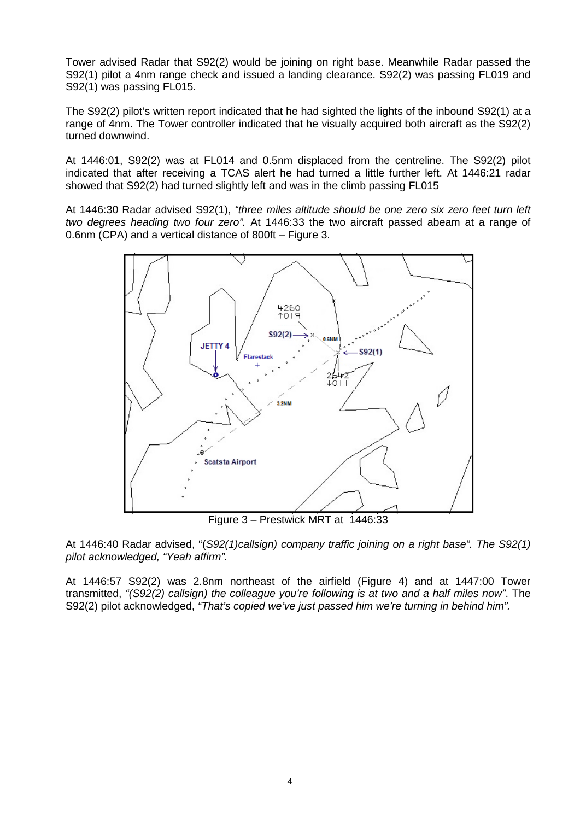Tower advised Radar that S92(2) would be joining on right base. Meanwhile Radar passed the S92(1) pilot a 4nm range check and issued a landing clearance. S92(2) was passing FL019 and S92(1) was passing FL015.

The S92(2) pilot's written report indicated that he had sighted the lights of the inbound S92(1) at a range of 4nm. The Tower controller indicated that he visually acquired both aircraft as the S92(2) turned downwind.

At 1446:01, S92(2) was at FL014 and 0.5nm displaced from the centreline. The S92(2) pilot indicated that after receiving a TCAS alert he had turned a little further left. At 1446:21 radar showed that S92(2) had turned slightly left and was in the climb passing FL015

At 1446:30 Radar advised S92(1), *"three miles altitude should be one zero six zero feet turn left two degrees heading two four zero".* At 1446:33 the two aircraft passed abeam at a range of 0.6nm (CPA) and a vertical distance of 800ft – Figure 3.



Figure 3 – Prestwick MRT at 1446:33

At 1446:40 Radar advised, "(*S92(1)callsign) company traffic joining on a right base". The S92(1) pilot acknowledged, "Yeah affirm".*

At 1446:57 S92(2) was 2.8nm northeast of the airfield (Figure 4) and at 1447:00 Tower transmitted, *"(S92(2) callsign) the colleague you're following is at two and a half miles now"*. The S92(2) pilot acknowledged, *"That's copied we've just passed him we're turning in behind him".*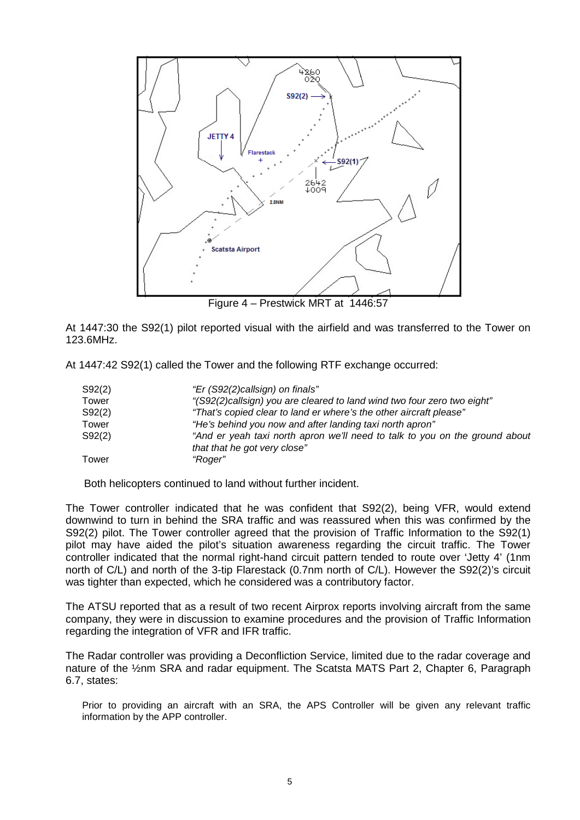

At 1447:30 the S92(1) pilot reported visual with the airfield and was transferred to the Tower on 123.6MHz.

At 1447:42 S92(1) called the Tower and the following RTF exchange occurred:

| S92(2) | "Er (S92(2)callsign) on finals"                                                                             |
|--------|-------------------------------------------------------------------------------------------------------------|
| Tower  | "(S92(2)callsign) you are cleared to land wind two four zero two eight"                                     |
| S92(2) | "That's copied clear to land er where's the other aircraft please"                                          |
| Tower  | "He's behind you now and after landing taxi north apron"                                                    |
| S92(2) | "And er yeah taxi north apron we'll need to talk to you on the ground about<br>that that he got very close" |
| Tower  | "Roger"                                                                                                     |

Both helicopters continued to land without further incident.

The Tower controller indicated that he was confident that S92(2), being VFR, would extend downwind to turn in behind the SRA traffic and was reassured when this was confirmed by the S92(2) pilot. The Tower controller agreed that the provision of Traffic Information to the S92(1) pilot may have aided the pilot's situation awareness regarding the circuit traffic. The Tower controller indicated that the normal right-hand circuit pattern tended to route over 'Jetty 4' (1nm north of C/L) and north of the 3-tip Flarestack (0.7nm north of C/L). However the S92(2)'s circuit was tighter than expected, which he considered was a contributory factor.

The ATSU reported that as a result of two recent Airprox reports involving aircraft from the same company, they were in discussion to examine procedures and the provision of Traffic Information regarding the integration of VFR and IFR traffic.

The Radar controller was providing a Deconfliction Service, limited due to the radar coverage and nature of the ½nm SRA and radar equipment. The Scatsta MATS Part 2, Chapter 6, Paragraph 6.7, states:

Prior to providing an aircraft with an SRA, the APS Controller will be given any relevant traffic information by the APP controller.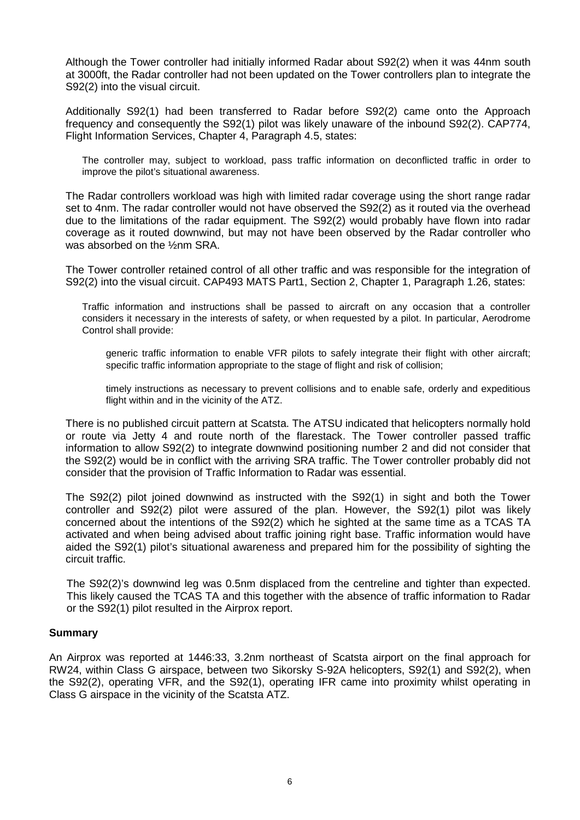Although the Tower controller had initially informed Radar about S92(2) when it was 44nm south at 3000ft, the Radar controller had not been updated on the Tower controllers plan to integrate the S92(2) into the visual circuit.

Additionally S92(1) had been transferred to Radar before S92(2) came onto the Approach frequency and consequently the S92(1) pilot was likely unaware of the inbound S92(2). CAP774, Flight Information Services, Chapter 4, Paragraph 4.5, states:

The controller may, subject to workload, pass traffic information on deconflicted traffic in order to improve the pilot's situational awareness.

The Radar controllers workload was high with limited radar coverage using the short range radar set to 4nm. The radar controller would not have observed the S92(2) as it routed via the overhead due to the limitations of the radar equipment. The S92(2) would probably have flown into radar coverage as it routed downwind, but may not have been observed by the Radar controller who was absorbed on the ½nm SRA.

The Tower controller retained control of all other traffic and was responsible for the integration of S92(2) into the visual circuit. CAP493 MATS Part1, Section 2, Chapter 1, Paragraph 1.26, states:

Traffic information and instructions shall be passed to aircraft on any occasion that a controller considers it necessary in the interests of safety, or when requested by a pilot. In particular, Aerodrome Control shall provide:

generic traffic information to enable VFR pilots to safely integrate their flight with other aircraft; specific traffic information appropriate to the stage of flight and risk of collision;

timely instructions as necessary to prevent collisions and to enable safe, orderly and expeditious flight within and in the vicinity of the ATZ.

There is no published circuit pattern at Scatsta. The ATSU indicated that helicopters normally hold or route via Jetty 4 and route north of the flarestack. The Tower controller passed traffic information to allow S92(2) to integrate downwind positioning number 2 and did not consider that the S92(2) would be in conflict with the arriving SRA traffic. The Tower controller probably did not consider that the provision of Traffic Information to Radar was essential.

The S92(2) pilot joined downwind as instructed with the S92(1) in sight and both the Tower controller and S92(2) pilot were assured of the plan. However, the S92(1) pilot was likely concerned about the intentions of the S92(2) which he sighted at the same time as a TCAS TA activated and when being advised about traffic joining right base. Traffic information would have aided the S92(1) pilot's situational awareness and prepared him for the possibility of sighting the circuit traffic.

The S92(2)'s downwind leg was 0.5nm displaced from the centreline and tighter than expected. This likely caused the TCAS TA and this together with the absence of traffic information to Radar or the S92(1) pilot resulted in the Airprox report.

#### **Summary**

An Airprox was reported at 1446:33, 3.2nm northeast of Scatsta airport on the final approach for RW24, within Class G airspace, between two Sikorsky S-92A helicopters, S92(1) and S92(2), when the S92(2), operating VFR, and the S92(1), operating IFR came into proximity whilst operating in Class G airspace in the vicinity of the Scatsta ATZ.